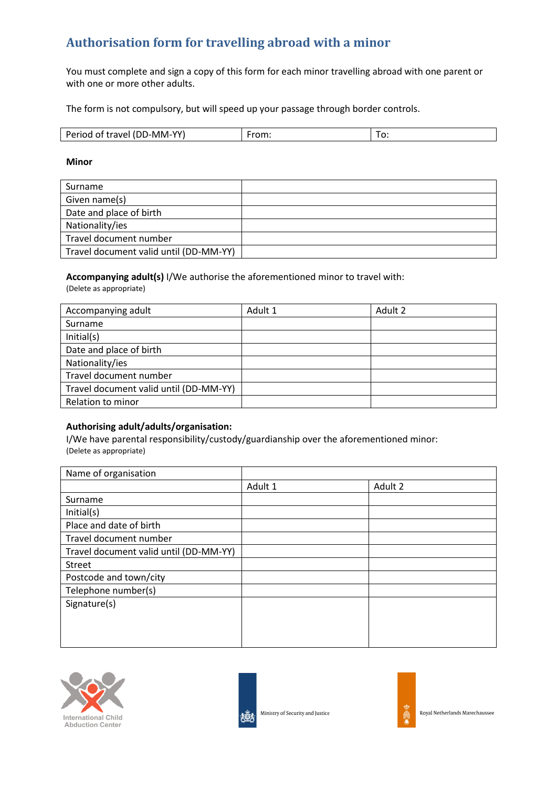# **Authorisation form for travelling abroad with a minor**

You must complete and sign a copy of this form for each minor travelling abroad with one parent or with one or more other adults.

The form is not compulsory, but will speed up your passage through border controls.

| $\mathsf{R}$ $\sim$ $\mathsf{R}$<br>$\mathsf{w}$<br>-----<br>₽△<br>ιv<br><b>AV</b><br>$\cdot$ . $\cdot$<br>. | . | ັ<br>____ |
|--------------------------------------------------------------------------------------------------------------|---|-----------|
|--------------------------------------------------------------------------------------------------------------|---|-----------|

#### **Minor**

| Surname                                |  |
|----------------------------------------|--|
| Given name(s)                          |  |
| Date and place of birth                |  |
| Nationality/ies                        |  |
| Travel document number                 |  |
| Travel document valid until (DD-MM-YY) |  |

# **Accompanying adult(s)** I/We authorise the aforementioned minor to travel with:

(Delete as appropriate)

| Accompanying adult                     | Adult 1 | Adult 2 |
|----------------------------------------|---------|---------|
| Surname                                |         |         |
| Initial(s)                             |         |         |
| Date and place of birth                |         |         |
| Nationality/ies                        |         |         |
| Travel document number                 |         |         |
| Travel document valid until (DD-MM-YY) |         |         |
| Relation to minor                      |         |         |

### **Authorising adult/adults/organisation:**

I/We have parental responsibility/custody/guardianship over the aforementioned minor: (Delete as appropriate)

| Name of organisation                   |         |         |
|----------------------------------------|---------|---------|
|                                        | Adult 1 | Adult 2 |
| Surname                                |         |         |
| Initial(s)                             |         |         |
| Place and date of birth                |         |         |
| Travel document number                 |         |         |
| Travel document valid until (DD-MM-YY) |         |         |
| <b>Street</b>                          |         |         |
| Postcode and town/city                 |         |         |
| Telephone number(s)                    |         |         |
| Signature(s)                           |         |         |
|                                        |         |         |
|                                        |         |         |
|                                        |         |         |